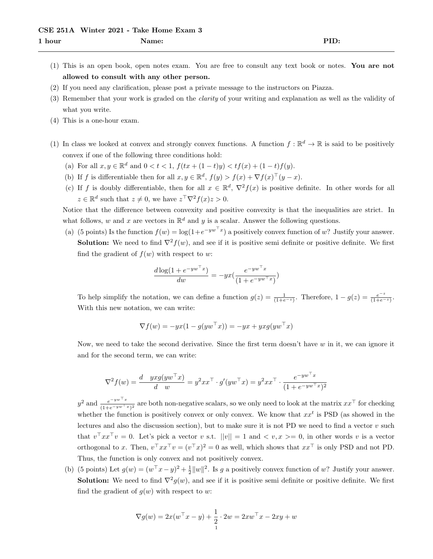- (1) This is an open book, open notes exam. You are free to consult any text book or notes. You are not allowed to consult with any other person.
- (2) If you need any clarification, please post a private message to the instructors on Piazza.
- (3) Remember that your work is graded on the clarity of your writing and explanation as well as the validity of what you write.
- (4) This is a one-hour exam.
- (1) In class we looked at convex and strongly convex functions. A function  $f : \mathbb{R}^d \to \mathbb{R}$  is said to be positively convex if one of the following three conditions hold:
	- (a) For all  $x, y \in \mathbb{R}^d$  and  $0 < t < 1$ ,  $f(tx + (1-t)y) < tf(x) + (1-t)f(y)$ .
	- (b) If f is differentiable then for all  $x, y \in \mathbb{R}^d$ ,  $f(y) > f(x) + \nabla f(x)^\top (y x)$ .
	- (c) If f is doubly differentiable, then for all  $x \in \mathbb{R}^d$ ,  $\nabla^2 f(x)$  is positive definite. In other words for all  $z \in \mathbb{R}^d$  such that  $z \neq 0$ , we have  $z^{\top} \nabla^2 f(x) z > 0$ .

Notice that the difference between convexity and positive convexity is that the inequalities are strict. In what follows, w and x are vectors in  $\mathbb{R}^d$  and y is a scalar. Answer the following questions.

(a) (5 points) Is the function  $f(w) = \log(1 + e^{-yw^{\top}x})$  a positively convex function of w? Justify your answer. **Solution:** We need to find  $\nabla^2 f(w)$ , and see if it is positive semi definite or positive definite. We first find the gradient of  $f(w)$  with respect to w:

$$
\frac{d \log(1 + e^{-yw^\top x})}{dw} = -yx(\frac{e^{-yw^\top x}}{(1 + e^{-yw^\top x})})
$$

To help simplify the notation, we can define a function  $g(z) = \frac{1}{(1+e^{-z})}$ . Therefore,  $1 - g(z) = \frac{e^{-z}}{(1+e^{-z})}$  $\frac{e^{-z}}{(1+e^{-z})}$ . With this new notation, we can write:

$$
\nabla f(w) = -yx(1 - g(yw^{\top}x)) = -yx + yxg(yw^{\top}x)
$$

Now, we need to take the second derivative. Since the first term doesn't have  $w$  in it, we can ignore it and for the second term, we can write:

$$
\nabla^2 f(w) = \frac{d}{d} \frac{y x g(y w^\top x)}{w} = y^2 x x^\top \cdot g'(y w^\top x) = y^2 x x^\top \cdot \frac{e^{-y w^\top x}}{(1 + e^{-y w^\top x})^2}
$$

 $y^2$  and  $\frac{e^{-yw^{\top}x}}{(1+e^{-yw^{\top}x})}$  $\frac{e^{-yw^{-x}}}{(1+e^{-yw^{-x}})^2}$  are both non-negative scalars, so we only need to look at the matrix  $xx^{\top}$  for checking whether the function is positively convex or only convex. We know that  $xx^t$  is PSD (as showed in the lectures and also the discussion section), but to make sure it is not PD we need to find a vector  $v$  such that  $v^{\top}xx^{\top}v = 0$ . Let's pick a vector v s.t.  $||v|| = 1$  and  $\langle v, x \rangle = 0$ , in other words v is a vector orthogonal to x. Then,  $v^{\top}xx^{\top}v = (v^{\top}x)^2 = 0$  as well, which shows that  $xx^{\top}$  is only PSD and not PD. Thus, the function is only convex and not positively convex.

(b) (5 points) Let  $g(w) = (w^{\top}x - y)^2 + \frac{1}{2}||w||^2$ . Is g a positively convex function of w? Justify your answer. **Solution:** We need to find  $\nabla^2 g(w)$ , and see if it is positive semi definite or positive definite. We first find the gradient of  $g(w)$  with respect to w:

$$
\nabla g(w) = 2x(w^{\top} x - y) + \frac{1}{2} \cdot 2w = 2xw^{\top} x - 2xy + w
$$